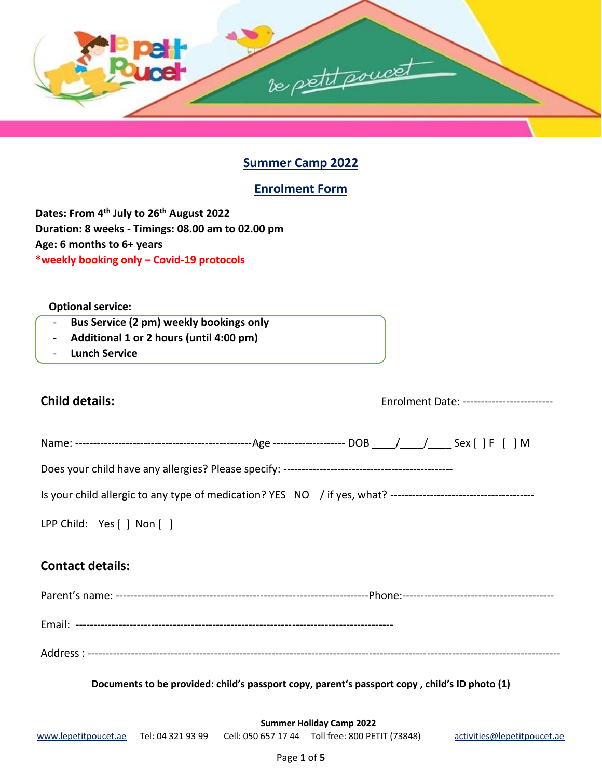

## **Summer Camp 2022**

## **Enrolment Form**

**Dates: From 4 th July to 26th August 2022 Duration: 8 weeks - Timings: 08.00 am to 02.00 pm Age: 6 months to 6+ years \*weekly booking only – Covid-19 protocols**

#### **Optional service:**

- **Bus Service (2 pm) weekly bookings only**
- **Additional 1 or 2 hours (until 4:00 pm)**
- **Lunch Service**

# **Child details:** Enrolment Date: ------------------------- Name: -------------------------------------------------Age -------------------- DOB \_\_\_\_/\_\_\_\_/\_\_\_\_ Sex [ ] F [ ] M Does your child have any allergies? Please specify: ----------------------------------------------- Is your child allergic to any type of medication? YES NO / if yes, what? ---------------------------------------- LPP Child: Yes [ ] Non [ ] **Contact details:**  Parent's name: ----------------------------------------------------------------------Phone:------------------------------------------ Email: ---------------------------------------------------------------------------------------- Address : ----------------------------------------------------------------------------------------------------------------------------------- **Documents to be provided: child's passport copy, parent's passport copy , child's ID photo (1)**

**Summer Holiday Camp 2022**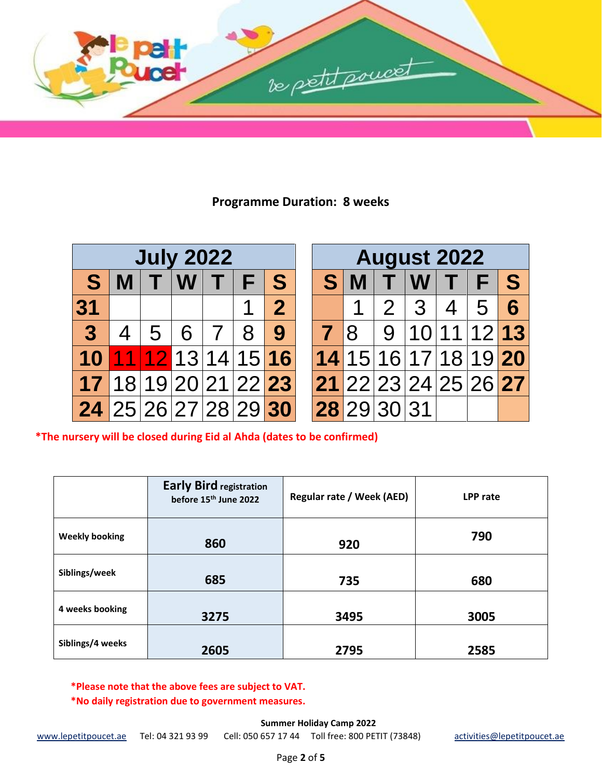

# **Programme Duration: 8 weeks**

| <b>July 2022</b>     |   |        |         |         |                      |                |
|----------------------|---|--------|---------|---------|----------------------|----------------|
| S                    | M | $\top$ | $ W $ T |         | F                    | S              |
| 31                   |   |        |         |         |                      | $\overline{2}$ |
| $\overline{3}$       | 4 | 5      |         | $6 7 8$ |                      | 9              |
| 10                   |   |        |         |         | 11 12 13 14 15 16    |                |
|                      |   |        |         |         | 17 18 19 20 21 22 23 |                |
| 24 25 26 27 28 29 30 |   |        |         |         |                      |                |

| <b>August 2022</b> |               |  |                       |  |  |   |
|--------------------|---------------|--|-----------------------|--|--|---|
|                    | S M           |  | T W T F               |  |  | S |
|                    |               |  | 1   2   3   4   5   6 |  |  |   |
|                    |               |  | 7 8 9 10 11 12 13     |  |  |   |
|                    |               |  | 14 15 16 17 18 19 20  |  |  |   |
|                    |               |  | 21 22 23 24 25 26 27  |  |  |   |
|                    | $28$ 29 30 31 |  |                       |  |  |   |

**\*The nursery will be closed during Eid al Ahda (dates to be confirmed)**

|                       | <b>Early Bird registration</b><br>before 15 <sup>th</sup> June 2022 | <b>Regular rate / Week (AED)</b> | LPP rate |
|-----------------------|---------------------------------------------------------------------|----------------------------------|----------|
| <b>Weekly booking</b> | 860                                                                 | 920                              | 790      |
| Siblings/week         | 685                                                                 | 735                              | 680      |
| 4 weeks booking       | 3275                                                                | 3495                             | 3005     |
| Siblings/4 weeks      | 2605                                                                | 2795                             | 2585     |

**\*Please note that the above fees are subject to VAT. \*No daily registration due to government measures.**

**Summer Holiday Camp 2022**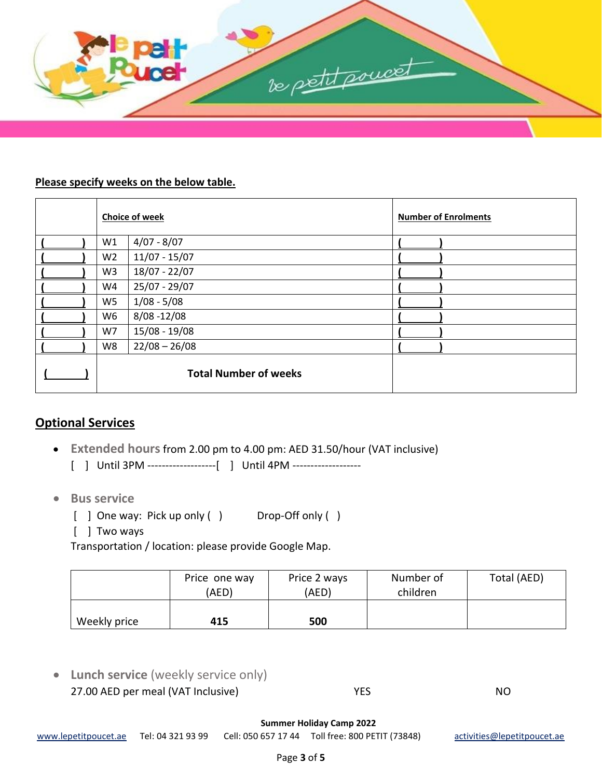

#### **Please specify weeks on the below table.**

|                | <b>Choice of week</b>        | <b>Number of Enrolments</b> |
|----------------|------------------------------|-----------------------------|
| W1             | $4/07 - 8/07$                |                             |
| W <sub>2</sub> | $11/07 - 15/07$              |                             |
| W <sub>3</sub> | 18/07 - 22/07                |                             |
| W4             | 25/07 - 29/07                |                             |
| W <sub>5</sub> | $1/08 - 5/08$                |                             |
| W <sub>6</sub> | $8/08 - 12/08$               |                             |
| W7             | $15/08 - 19/08$              |                             |
| W8             | $22/08 - 26/08$              |                             |
|                | <b>Total Number of weeks</b> |                             |

# **Optional Services**

- **Extended hours**from 2.00 pm to 4.00 pm: AED 31.50/hour (VAT inclusive)
	- [ ] Until 3PM -------------------[ ] Until 4PM -------------------
- **Bus service** 
	- [ ] One way: Pick up only ( ) Drop-Off only ( )
	- [ ] Two ways

Transportation / location: please provide Google Map.

|              | Price one way<br>(AED) | Price 2 ways<br>(AED) | Number of<br>children | Total (AED) |
|--------------|------------------------|-----------------------|-----------------------|-------------|
| Weekly price | 415                    | 500                   |                       |             |

• **Lunch service** (weekly service only) 27.00 AED per meal (VAT Inclusive) WES WES

**Summer Holiday Camp 2022**

[www.lepetitpoucet.ae](http://www.lepetitpoucet.ae/) Tel: 04 321 93 99 Cell: 050 657 17 44 Toll free: 800 PETIT (73848) [activities@lepetitpoucet.ae](mailto:activities@lepetitpoucet.ae)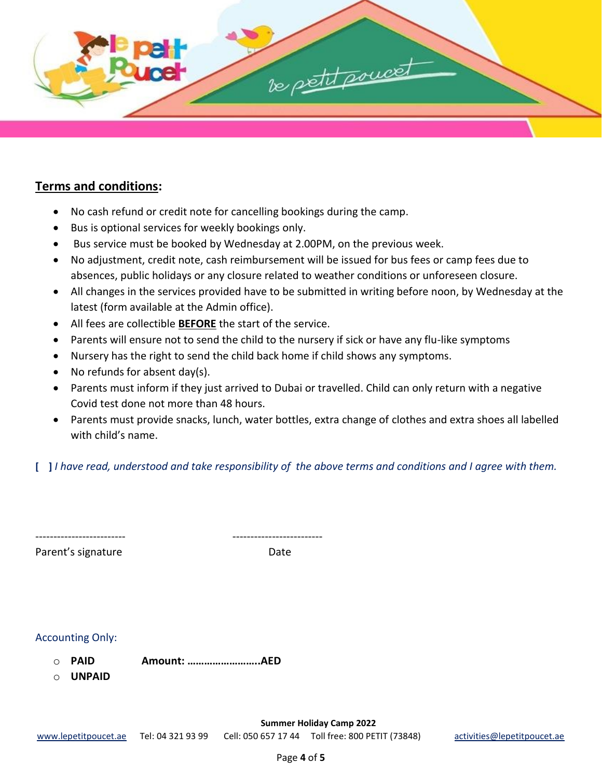

#### **Terms and conditions:**

- No cash refund or credit note for cancelling bookings during the camp.
- Bus is optional services for weekly bookings only.
- Bus service must be booked by Wednesday at 2.00PM, on the previous week.
- No adjustment, credit note, cash reimbursement will be issued for bus fees or camp fees due to absences, public holidays or any closure related to weather conditions or unforeseen closure.
- All changes in the services provided have to be submitted in writing before noon, by Wednesday at the latest (form available at the Admin office).
- All fees are collectible **BEFORE** the start of the service.
- Parents will ensure not to send the child to the nursery if sick or have any flu-like symptoms
- Nursery has the right to send the child back home if child shows any symptoms.
- No refunds for absent day(s).
- Parents must inform if they just arrived to Dubai or travelled. Child can only return with a negative Covid test done not more than 48 hours.
- Parents must provide snacks, lunch, water bottles, extra change of clothes and extra shoes all labelled with child's name.

**[ ]** *I have read, understood and take responsibility of the above terms and conditions and I agree with them.* 

| -------------------------- | -------------------------- |
|----------------------------|----------------------------|

Parent's signature Date

| <b>Accounting Only:</b> |  |
|-------------------------|--|

- o **PAID Amount: ……………………..AED**
- o **UNPAID**